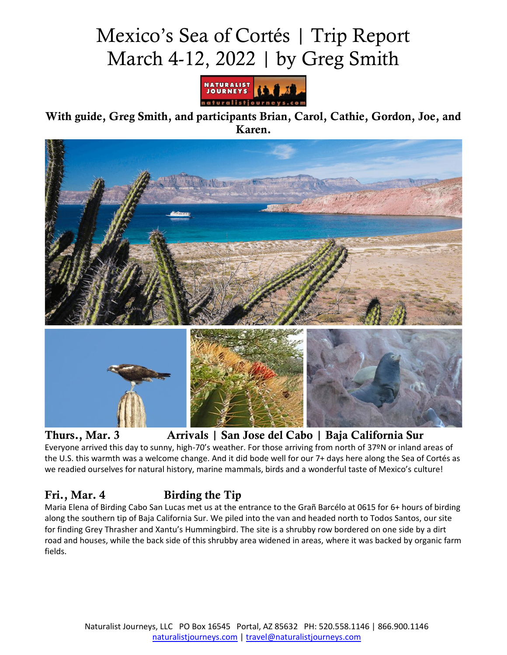# Mexico's Sea of Cortés | Trip Report March 4-12, 2022 | by Greg Smith



With guide, Greg Smith, and participants Brian, Carol, Cathie, Gordon, Joe, and Karen.



Thurs., Mar. 3 Arrivals | San Jose del Cabo | Baja California Sur

Everyone arrived this day to sunny, high-70's weather. For those arriving from north of 37ºN or inland areas of the U.S. this warmth was a welcome change. And it did bode well for our 7+ days here along the Sea of Cortés as we readied ourselves for natural history, marine mammals, birds and a wonderful taste of Mexico's culture!

# Fri., Mar. 4 Birding the Tip

Maria Elena of Birding Cabo San Lucas met us at the entrance to the Grañ Barcélo at 0615 for 6+ hours of birding along the southern tip of Baja California Sur. We piled into the van and headed north to Todos Santos, our site for finding Grey Thrasher and Xantu's Hummingbird. The site is a shrubby row bordered on one side by a dirt road and houses, while the back side of this shrubby area widened in areas, where it was backed by organic farm fields.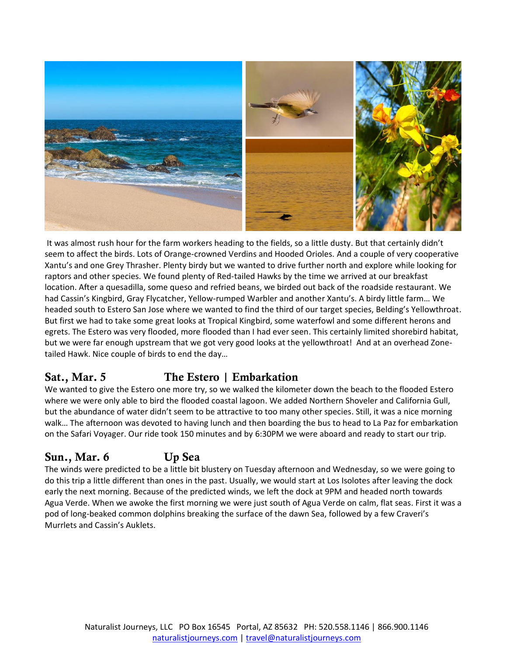

It was almost rush hour for the farm workers heading to the fields, so a little dusty. But that certainly didn't seem to affect the birds. Lots of Orange-crowned Verdins and Hooded Orioles. And a couple of very cooperative Xantu's and one Grey Thrasher. Plenty birdy but we wanted to drive further north and explore while looking for raptors and other species. We found plenty of Red-tailed Hawks by the time we arrived at our breakfast location. After a quesadilla, some queso and refried beans, we birded out back of the roadside restaurant. We had Cassin's Kingbird, Gray Flycatcher, Yellow-rumped Warbler and another Xantu's. A birdy little farm… We headed south to Estero San Jose where we wanted to find the third of our target species, Belding's Yellowthroat. But first we had to take some great looks at Tropical Kingbird, some waterfowl and some different herons and egrets. The Estero was very flooded, more flooded than I had ever seen. This certainly limited shorebird habitat, but we were far enough upstream that we got very good looks at the yellowthroat! And at an overhead Zonetailed Hawk. Nice couple of birds to end the day…

# Sat., Mar. 5 The Estero | Embarkation

We wanted to give the Estero one more try, so we walked the kilometer down the beach to the flooded Estero where we were only able to bird the flooded coastal lagoon. We added Northern Shoveler and California Gull, but the abundance of water didn't seem to be attractive to too many other species. Still, it was a nice morning walk… The afternoon was devoted to having lunch and then boarding the bus to head to La Paz for embarkation on the Safari Voyager. Our ride took 150 minutes and by 6:30PM we were aboard and ready to start our trip.

# Sun., Mar. 6 Up Sea

The winds were predicted to be a little bit blustery on Tuesday afternoon and Wednesday, so we were going to do this trip a little different than ones in the past. Usually, we would start at Los Isolotes after leaving the dock early the next morning. Because of the predicted winds, we left the dock at 9PM and headed north towards Agua Verde. When we awoke the first morning we were just south of Agua Verde on calm, flat seas. First it was a pod of long-beaked common dolphins breaking the surface of the dawn Sea, followed by a few Craveri's Murrlets and Cassin's Auklets.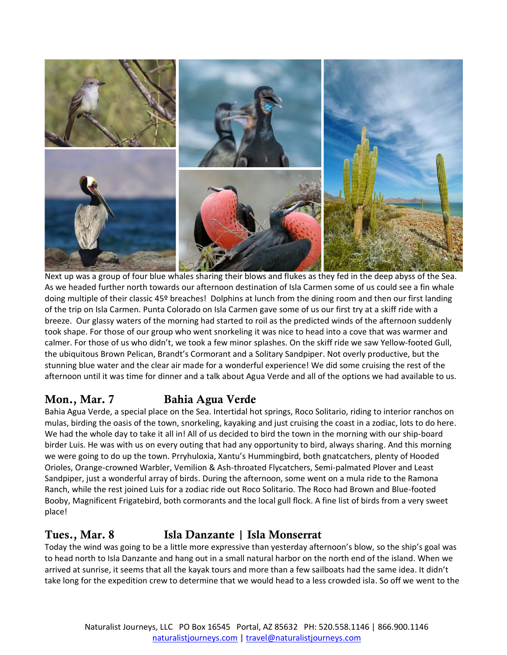

Next up was a group of four blue whales sharing their blows and flukes as they fed in the deep abyss of the Sea. As we headed further north towards our afternoon destination of Isla Carmen some of us could see a fin whale doing multiple of their classic 45º breaches! Dolphins at lunch from the dining room and then our first landing of the trip on Isla Carmen. Punta Colorado on Isla Carmen gave some of us our first try at a skiff ride with a breeze. Our glassy waters of the morning had started to roil as the predicted winds of the afternoon suddenly took shape. For those of our group who went snorkeling it was nice to head into a cove that was warmer and calmer. For those of us who didn't, we took a few minor splashes. On the skiff ride we saw Yellow-footed Gull, the ubiquitous Brown Pelican, Brandt's Cormorant and a Solitary Sandpiper. Not overly productive, but the stunning blue water and the clear air made for a wonderful experience! We did some cruising the rest of the afternoon until it was time for dinner and a talk about Agua Verde and all of the options we had available to us.

# Mon., Mar. 7 Bahia Agua Verde

Bahia Agua Verde, a special place on the Sea. Intertidal hot springs, Roco Solitario, riding to interior ranchos on mulas, birding the oasis of the town, snorkeling, kayaking and just cruising the coast in a zodiac, lots to do here. We had the whole day to take it all in! All of us decided to bird the town in the morning with our ship-board birder Luis. He was with us on every outing that had any opportunity to bird, always sharing. And this morning we were going to do up the town. Prryhuloxia, Xantu's Hummingbird, both gnatcatchers, plenty of Hooded Orioles, Orange-crowned Warbler, Vemilion & Ash-throated Flycatchers, Semi-palmated Plover and Least Sandpiper, just a wonderful array of birds. During the afternoon, some went on a mula ride to the Ramona Ranch, while the rest joined Luis for a zodiac ride out Roco Solitario. The Roco had Brown and Blue-footed Booby, Magnificent Frigatebird, both cormorants and the local gull flock. A fine list of birds from a very sweet place!

#### Tues., Mar. 8 Isla Danzante | Isla Monserrat

Today the wind was going to be a little more expressive than yesterday afternoon's blow, so the ship's goal was to head north to Isla Danzante and hang out in a small natural harbor on the north end of the island. When we arrived at sunrise, it seems that all the kayak tours and more than a few sailboats had the same idea. It didn't take long for the expedition crew to determine that we would head to a less crowded isla. So off we went to the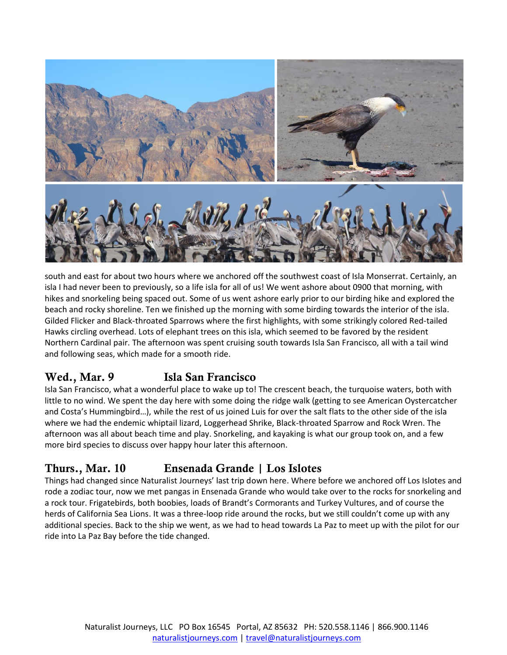

south and east for about two hours where we anchored off the southwest coast of Isla Monserrat. Certainly, an isla I had never been to previously, so a life isla for all of us! We went ashore about 0900 that morning, with hikes and snorkeling being spaced out. Some of us went ashore early prior to our birding hike and explored the beach and rocky shoreline. Ten we finished up the morning with some birding towards the interior of the isla. Gilded Flicker and Black-throated Sparrows where the first highlights, with some strikingly colored Red-tailed Hawks circling overhead. Lots of elephant trees on this isla, which seemed to be favored by the resident Northern Cardinal pair. The afternoon was spent cruising south towards Isla San Francisco, all with a tail wind and following seas, which made for a smooth ride.

# Wed., Mar. 9 **Isla San Francisco**

Isla San Francisco, what a wonderful place to wake up to! The crescent beach, the turquoise waters, both with little to no wind. We spent the day here with some doing the ridge walk (getting to see American Oystercatcher and Costa's Hummingbird…), while the rest of us joined Luis for over the salt flats to the other side of the isla where we had the endemic whiptail lizard, Loggerhead Shrike, Black-throated Sparrow and Rock Wren. The afternoon was all about beach time and play. Snorkeling, and kayaking is what our group took on, and a few more bird species to discuss over happy hour later this afternoon.

# Thurs., Mar. 10 Ensenada Grande | Los Islotes

Things had changed since Naturalist Journeys' last trip down here. Where before we anchored off Los Islotes and rode a zodiac tour, now we met pangas in Ensenada Grande who would take over to the rocks for snorkeling and a rock tour. Frigatebirds, both boobies, loads of Brandt's Cormorants and Turkey Vultures, and of course the herds of California Sea Lions. It was a three-loop ride around the rocks, but we still couldn't come up with any additional species. Back to the ship we went, as we had to head towards La Paz to meet up with the pilot for our ride into La Paz Bay before the tide changed.